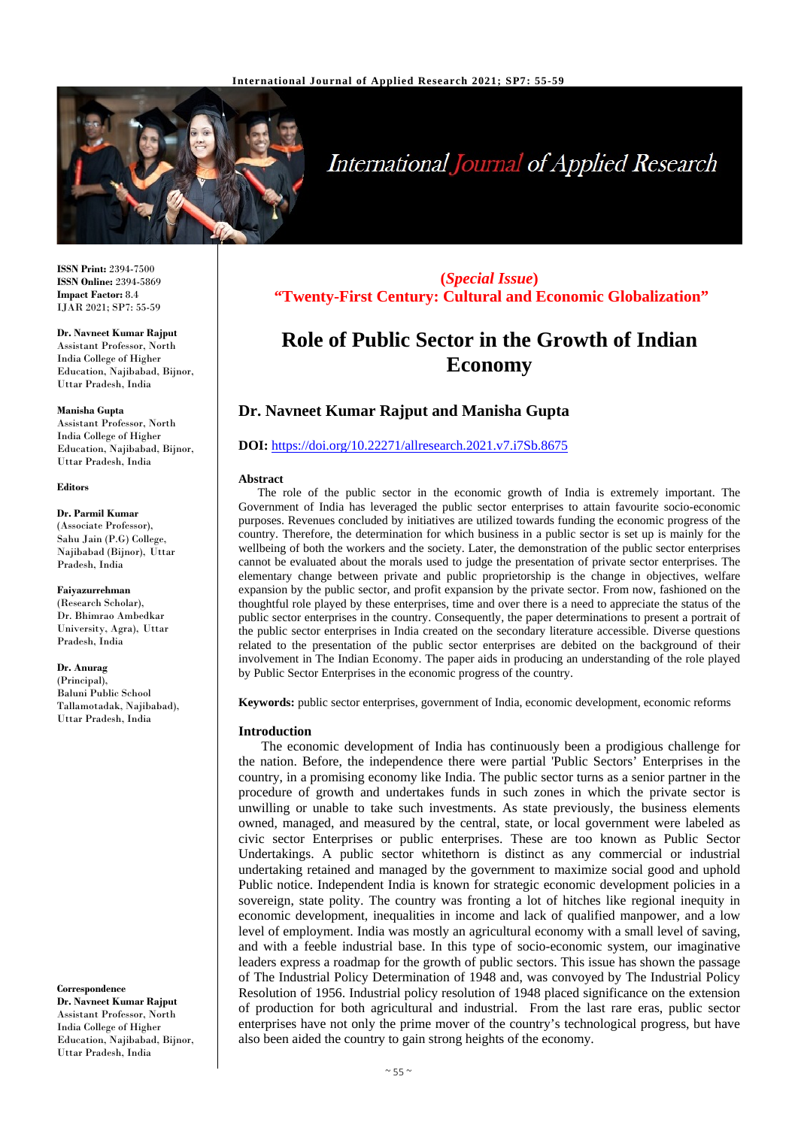

# **International Journal of Applied Research**

**ISSN Print:** 2394-7500 **ISSN Online:** 2394-5869 **Impact Factor:** 8.4 IJAR 2021; SP7: 55-59

# **Dr. Navneet Kumar Rajput**

Assistant Professor, North India College of Higher Education, Najibabad, Bijnor, Uttar Pradesh, India

#### **Manisha Gupta**

Assistant Professor, North India College of Higher Education, Najibabad, Bijnor, Uttar Pradesh, India

#### **Editors**

# **Dr. Parmil Kumar**

(Associate Professor), Sahu Jain (P.G) College, Najibabad (Bijnor), Uttar Pradesh, India

#### **Faiyazurrehman**

(Research Scholar), Dr. Bhimrao Ambedkar University, Agra), Uttar Pradesh, India

#### **Dr. Anurag**

(Principal), Baluni Public School Tallamotadak, Najibabad), Uttar Pradesh, India

**Correspondence Dr. Navneet Kumar Rajput**

Assistant Professor, North India College of Higher Education, Najibabad, Bijnor, Uttar Pradesh, India

# **(***Special Issue***) "Twenty-First Century: Cultural and Economic Globalization"**

# **Role of Public Sector in the Growth of Indian Economy**

# **Dr. Navneet Kumar Rajput and Manisha Gupta**

# **DOI:** <https://doi.org/10.22271/allresearch.2021.v7.i7Sb.8675>

#### **Abstract**

The role of the public sector in the economic growth of India is extremely important. The Government of India has leveraged the public sector enterprises to attain favourite socio-economic purposes. Revenues concluded by initiatives are utilized towards funding the economic progress of the country. Therefore, the determination for which business in a public sector is set up is mainly for the wellbeing of both the workers and the society. Later, the demonstration of the public sector enterprises cannot be evaluated about the morals used to judge the presentation of private sector enterprises. The elementary change between private and public proprietorship is the change in objectives, welfare expansion by the public sector, and profit expansion by the private sector. From now, fashioned on the thoughtful role played by these enterprises, time and over there is a need to appreciate the status of the public sector enterprises in the country. Consequently, the paper determinations to present a portrait of the public sector enterprises in India created on the secondary literature accessible. Diverse questions related to the presentation of the public sector enterprises are debited on the background of their involvement in The Indian Economy. The paper aids in producing an understanding of the role played by Public Sector Enterprises in the economic progress of the country.

**Keywords:** public sector enterprises, government of India, economic development, economic reforms

#### **Introduction**

The economic development of India has continuously been a prodigious challenge for the nation. Before, the independence there were partial 'Public Sectors' Enterprises in the country, in a promising economy like India. The public sector turns as a senior partner in the procedure of growth and undertakes funds in such zones in which the private sector is unwilling or unable to take such investments. As state previously, the business elements owned, managed, and measured by the central, state, or local government were labeled as civic sector Enterprises or public enterprises. These are too known as Public Sector Undertakings. A public sector whitethorn is distinct as any commercial or industrial undertaking retained and managed by the government to maximize social good and uphold Public notice. Independent India is known for strategic economic development policies in a sovereign, state polity. The country was fronting a lot of hitches like regional inequity in economic development, inequalities in income and lack of qualified manpower, and a low level of employment. India was mostly an agricultural economy with a small level of saving, and with a feeble industrial base. In this type of socio-economic system, our imaginative leaders express a roadmap for the growth of public sectors. This issue has shown the passage of The Industrial Policy Determination of 1948 and, was convoyed by The Industrial Policy Resolution of 1956. Industrial policy resolution of 1948 placed significance on the extension of production for both agricultural and industrial. From the last rare eras, public sector enterprises have not only the prime mover of the country's technological progress, but have also been aided the country to gain strong heights of the economy.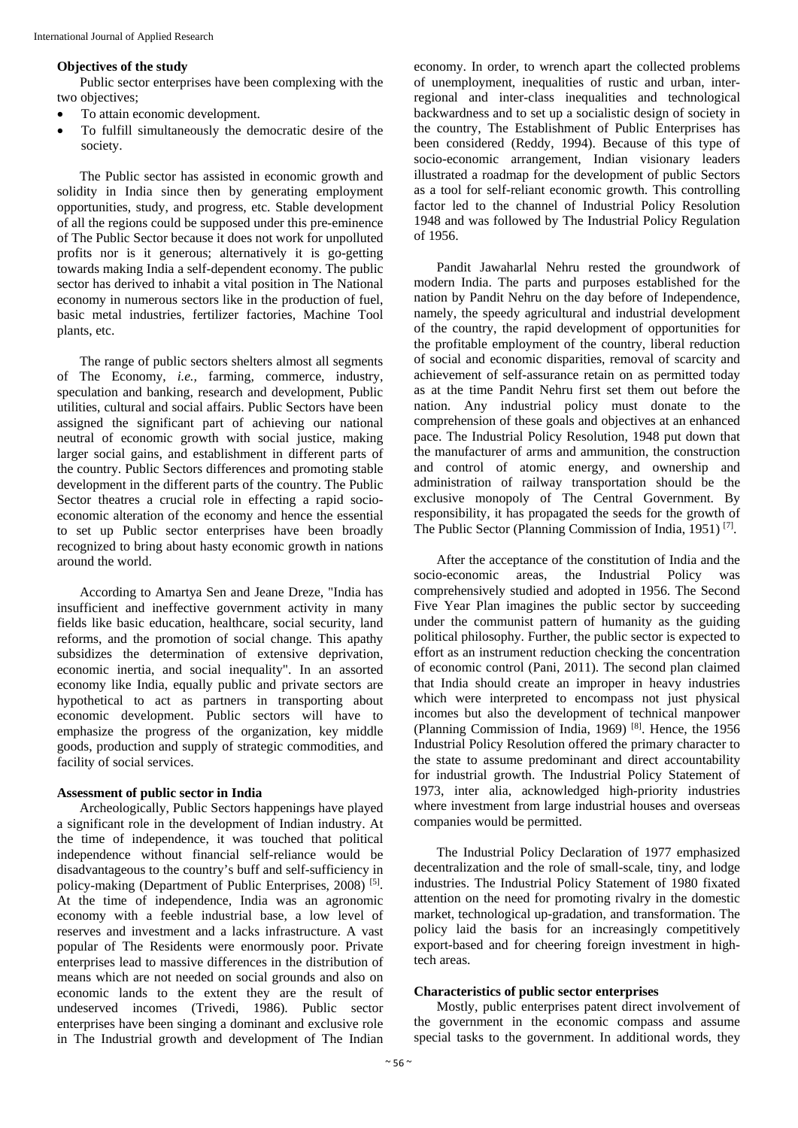#### **Objectives of the study**

Public sector enterprises have been complexing with the two objectives:

- To attain economic development.
- To fulfill simultaneously the democratic desire of the society.

The Public sector has assisted in economic growth and solidity in India since then by generating employment opportunities, study, and progress, etc. Stable development of all the regions could be supposed under this pre-eminence of The Public Sector because it does not work for unpolluted profits nor is it generous; alternatively it is go-getting towards making India a self-dependent economy. The public sector has derived to inhabit a vital position in The National economy in numerous sectors like in the production of fuel, basic metal industries, fertilizer factories, Machine Tool plants, etc.

The range of public sectors shelters almost all segments of The Economy, *i.e.,* farming, commerce, industry, speculation and banking, research and development, Public utilities, cultural and social affairs. Public Sectors have been assigned the significant part of achieving our national neutral of economic growth with social justice, making larger social gains, and establishment in different parts of the country. Public Sectors differences and promoting stable development in the different parts of the country. The Public Sector theatres a crucial role in effecting a rapid socioeconomic alteration of the economy and hence the essential to set up Public sector enterprises have been broadly recognized to bring about hasty economic growth in nations around the world.

According to Amartya Sen and Jeane Dreze, "India has insufficient and ineffective government activity in many fields like basic education, healthcare, social security, land reforms, and the promotion of social change. This apathy subsidizes the determination of extensive deprivation, economic inertia, and social inequality". In an assorted economy like India, equally public and private sectors are hypothetical to act as partners in transporting about economic development. Public sectors will have to emphasize the progress of the organization, key middle goods, production and supply of strategic commodities, and facility of social services.

#### **Assessment of public sector in India**

Archeologically, Public Sectors happenings have played a significant role in the development of Indian industry. At the time of independence, it was touched that political independence without financial self-reliance would be disadvantageous to the country's buff and self-sufficiency in policy-making (Department of Public Enterprises, 2008)<sup>[5]</sup>. At the time of independence, India was an agronomic economy with a feeble industrial base, a low level of reserves and investment and a lacks infrastructure. A vast popular of The Residents were enormously poor. Private enterprises lead to massive differences in the distribution of means which are not needed on social grounds and also on economic lands to the extent they are the result of undeserved incomes (Trivedi, 1986). Public sector enterprises have been singing a dominant and exclusive role in The Industrial growth and development of The Indian

economy. In order, to wrench apart the collected problems of unemployment, inequalities of rustic and urban, interregional and inter-class inequalities and technological backwardness and to set up a socialistic design of society in the country, The Establishment of Public Enterprises has been considered (Reddy, 1994). Because of this type of socio-economic arrangement, Indian visionary leaders illustrated a roadmap for the development of public Sectors as a tool for self-reliant economic growth. This controlling factor led to the channel of Industrial Policy Resolution 1948 and was followed by The Industrial Policy Regulation of 1956.

Pandit Jawaharlal Nehru rested the groundwork of modern India. The parts and purposes established for the nation by Pandit Nehru on the day before of Independence, namely, the speedy agricultural and industrial development of the country, the rapid development of opportunities for the profitable employment of the country, liberal reduction of social and economic disparities, removal of scarcity and achievement of self-assurance retain on as permitted today as at the time Pandit Nehru first set them out before the nation. Any industrial policy must donate to the comprehension of these goals and objectives at an enhanced pace. The Industrial Policy Resolution, 1948 put down that the manufacturer of arms and ammunition, the construction and control of atomic energy, and ownership and administration of railway transportation should be the exclusive monopoly of The Central Government. By responsibility, it has propagated the seeds for the growth of The Public Sector (Planning Commission of India, 1951) [7].

After the acceptance of the constitution of India and the socio-economic areas, the Industrial Policy was comprehensively studied and adopted in 1956. The Second Five Year Plan imagines the public sector by succeeding under the communist pattern of humanity as the guiding political philosophy. Further, the public sector is expected to effort as an instrument reduction checking the concentration of economic control (Pani, 2011). The second plan claimed that India should create an improper in heavy industries which were interpreted to encompass not just physical incomes but also the development of technical manpower (Planning Commission of India, 1969)  $[8]$ . Hence, the 1956 Industrial Policy Resolution offered the primary character to the state to assume predominant and direct accountability for industrial growth. The Industrial Policy Statement of 1973, inter alia, acknowledged high-priority industries where investment from large industrial houses and overseas companies would be permitted.

The Industrial Policy Declaration of 1977 emphasized decentralization and the role of small-scale, tiny, and lodge industries. The Industrial Policy Statement of 1980 fixated attention on the need for promoting rivalry in the domestic market, technological up-gradation, and transformation. The policy laid the basis for an increasingly competitively export-based and for cheering foreign investment in hightech areas.

# **Characteristics of public sector enterprises**

Mostly, public enterprises patent direct involvement of the government in the economic compass and assume special tasks to the government. In additional words, they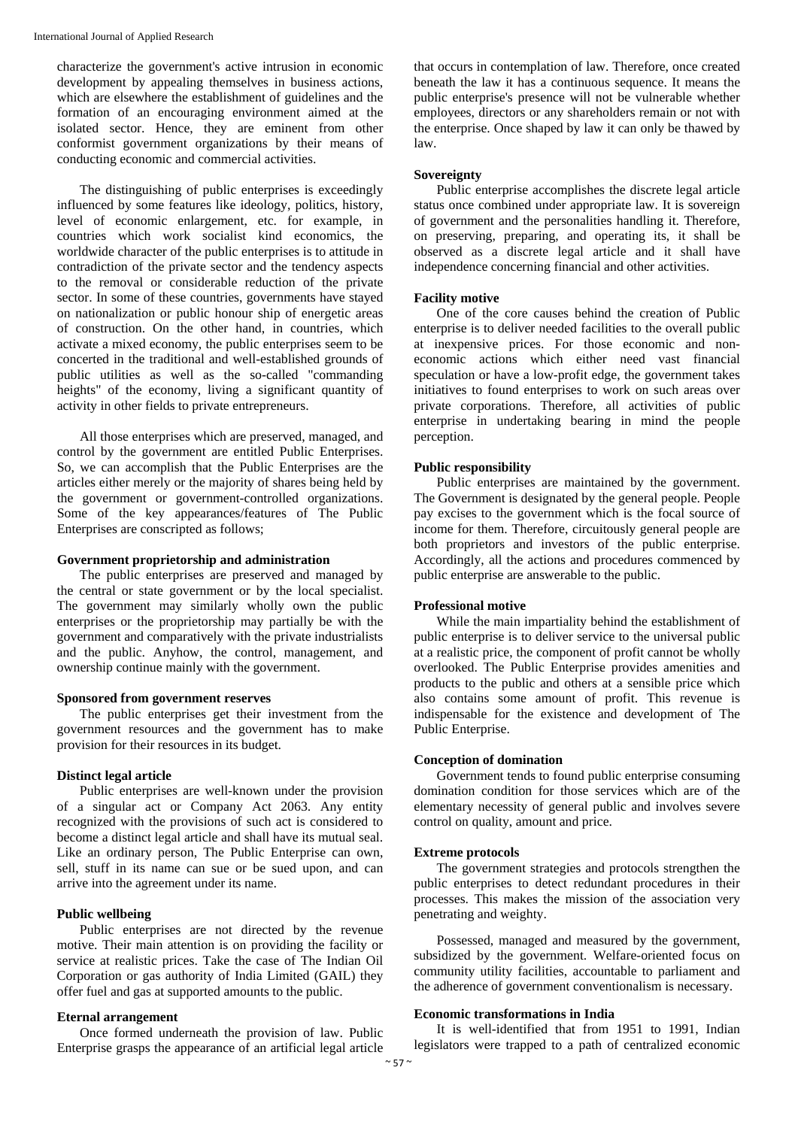characterize the government's active intrusion in economic development by appealing themselves in business actions, which are elsewhere the establishment of guidelines and the formation of an encouraging environment aimed at the isolated sector. Hence, they are eminent from other conformist government organizations by their means of conducting economic and commercial activities.

The distinguishing of public enterprises is exceedingly influenced by some features like ideology, politics, history, level of economic enlargement, etc. for example, in countries which work socialist kind economics, the worldwide character of the public enterprises is to attitude in contradiction of the private sector and the tendency aspects to the removal or considerable reduction of the private sector. In some of these countries, governments have stayed on nationalization or public honour ship of energetic areas of construction. On the other hand, in countries, which activate a mixed economy, the public enterprises seem to be concerted in the traditional and well-established grounds of public utilities as well as the so-called "commanding heights" of the economy, living a significant quantity of activity in other fields to private entrepreneurs.

All those enterprises which are preserved, managed, and control by the government are entitled Public Enterprises. So, we can accomplish that the Public Enterprises are the articles either merely or the majority of shares being held by the government or government-controlled organizations. Some of the key appearances/features of The Public Enterprises are conscripted as follows;

#### **Government proprietorship and administration**

The public enterprises are preserved and managed by the central or state government or by the local specialist. The government may similarly wholly own the public enterprises or the proprietorship may partially be with the government and comparatively with the private industrialists and the public. Anyhow, the control, management, and ownership continue mainly with the government.

#### **Sponsored from government reserves**

The public enterprises get their investment from the government resources and the government has to make provision for their resources in its budget.

#### **Distinct legal article**

Public enterprises are well-known under the provision of a singular act or Company Act 2063. Any entity recognized with the provisions of such act is considered to become a distinct legal article and shall have its mutual seal. Like an ordinary person, The Public Enterprise can own, sell, stuff in its name can sue or be sued upon, and can arrive into the agreement under its name.

# **Public wellbeing**

Public enterprises are not directed by the revenue motive. Their main attention is on providing the facility or service at realistic prices. Take the case of The Indian Oil Corporation or gas authority of India Limited (GAIL) they offer fuel and gas at supported amounts to the public.

# **Eternal arrangement**

Once formed underneath the provision of law. Public Enterprise grasps the appearance of an artificial legal article

that occurs in contemplation of law. Therefore, once created beneath the law it has a continuous sequence. It means the public enterprise's presence will not be vulnerable whether employees, directors or any shareholders remain or not with the enterprise. Once shaped by law it can only be thawed by law.

#### **Sovereignty**

Public enterprise accomplishes the discrete legal article status once combined under appropriate law. It is sovereign of government and the personalities handling it. Therefore, on preserving, preparing, and operating its, it shall be observed as a discrete legal article and it shall have independence concerning financial and other activities.

#### **Facility motive**

One of the core causes behind the creation of Public enterprise is to deliver needed facilities to the overall public at inexpensive prices. For those economic and noneconomic actions which either need vast financial speculation or have a low-profit edge, the government takes initiatives to found enterprises to work on such areas over private corporations. Therefore, all activities of public enterprise in undertaking bearing in mind the people perception.

#### **Public responsibility**

Public enterprises are maintained by the government. The Government is designated by the general people. People pay excises to the government which is the focal source of income for them. Therefore, circuitously general people are both proprietors and investors of the public enterprise. Accordingly, all the actions and procedures commenced by public enterprise are answerable to the public.

# **Professional motive**

While the main impartiality behind the establishment of public enterprise is to deliver service to the universal public at a realistic price, the component of profit cannot be wholly overlooked. The Public Enterprise provides amenities and products to the public and others at a sensible price which also contains some amount of profit. This revenue is indispensable for the existence and development of The Public Enterprise.

# **Conception of domination**

Government tends to found public enterprise consuming domination condition for those services which are of the elementary necessity of general public and involves severe control on quality, amount and price.

#### **Extreme protocols**

The government strategies and protocols strengthen the public enterprises to detect redundant procedures in their processes. This makes the mission of the association very penetrating and weighty.

Possessed, managed and measured by the government, subsidized by the government. Welfare-oriented focus on community utility facilities, accountable to parliament and the adherence of government conventionalism is necessary.

#### **Economic transformations in India**

It is well-identified that from 1951 to 1991, Indian legislators were trapped to a path of centralized economic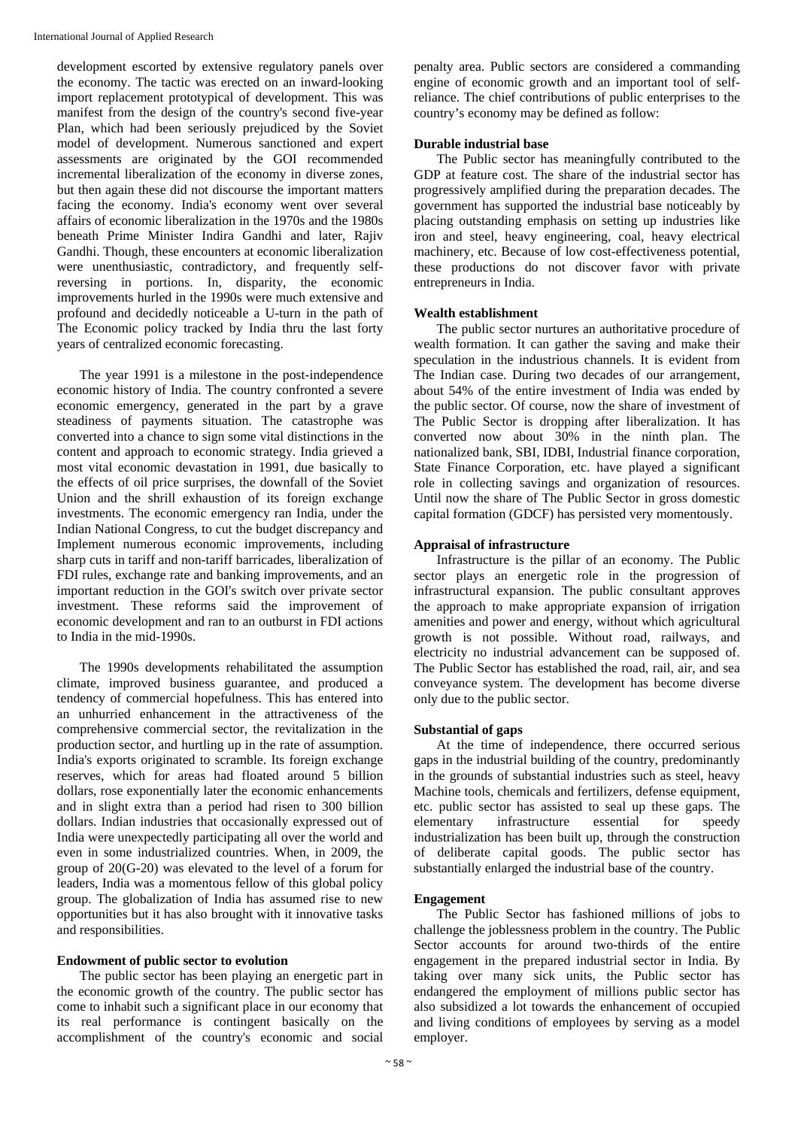development escorted by extensive regulatory panels over the economy. The tactic was erected on an inward-looking import replacement prototypical of development. This was manifest from the design of the country's second five-year Plan, which had been seriously prejudiced by the Soviet model of development. Numerous sanctioned and expert assessments are originated by the GOI recommended incremental liberalization of the economy in diverse zones, but then again these did not discourse the important matters facing the economy. India's economy went over several affairs of economic liberalization in the 1970s and the 1980s beneath Prime Minister Indira Gandhi and later, Rajiv Gandhi. Though, these encounters at economic liberalization were unenthusiastic, contradictory, and frequently selfreversing in portions. In, disparity, the economic improvements hurled in the 1990s were much extensive and profound and decidedly noticeable a U-turn in the path of The Economic policy tracked by India thru the last forty years of centralized economic forecasting.

The year 1991 is a milestone in the post-independence economic history of India. The country confronted a severe economic emergency, generated in the part by a grave steadiness of payments situation. The catastrophe was converted into a chance to sign some vital distinctions in the content and approach to economic strategy. India grieved a most vital economic devastation in 1991, due basically to the effects of oil price surprises, the downfall of the Soviet Union and the shrill exhaustion of its foreign exchange investments. The economic emergency ran India, under the Indian National Congress, to cut the budget discrepancy and Implement numerous economic improvements, including sharp cuts in tariff and non-tariff barricades, liberalization of FDI rules, exchange rate and banking improvements, and an important reduction in the GOI's switch over private sector investment. These reforms said the improvement of economic development and ran to an outburst in FDI actions to India in the mid-1990s.

The 1990s developments rehabilitated the assumption climate, improved business guarantee, and produced a tendency of commercial hopefulness. This has entered into an unhurried enhancement in the attractiveness of the comprehensive commercial sector, the revitalization in the production sector, and hurtling up in the rate of assumption. India's exports originated to scramble. Its foreign exchange reserves, which for areas had floated around 5 billion dollars, rose exponentially later the economic enhancements and in slight extra than a period had risen to 300 billion dollars. Indian industries that occasionally expressed out of India were unexpectedly participating all over the world and even in some industrialized countries. When, in 2009, the group of 20(G-20) was elevated to the level of a forum for leaders, India was a momentous fellow of this global policy group. The globalization of India has assumed rise to new opportunities but it has also brought with it innovative tasks and responsibilities.

# **Endowment of public sector to evolution**

The public sector has been playing an energetic part in the economic growth of the country. The public sector has come to inhabit such a significant place in our economy that its real performance is contingent basically on the accomplishment of the country's economic and social

penalty area. Public sectors are considered a commanding engine of economic growth and an important tool of selfreliance. The chief contributions of public enterprises to the country's economy may be defined as follow:

# **Durable industrial base**

The Public sector has meaningfully contributed to the GDP at feature cost. The share of the industrial sector has progressively amplified during the preparation decades. The government has supported the industrial base noticeably by placing outstanding emphasis on setting up industries like iron and steel, heavy engineering, coal, heavy electrical machinery, etc. Because of low cost-effectiveness potential, these productions do not discover favor with private entrepreneurs in India.

# **Wealth establishment**

The public sector nurtures an authoritative procedure of wealth formation. It can gather the saving and make their speculation in the industrious channels. It is evident from The Indian case. During two decades of our arrangement, about 54% of the entire investment of India was ended by the public sector. Of course, now the share of investment of The Public Sector is dropping after liberalization. It has converted now about  $30\%$  in the ninth plan. The nationalized bank, SBI, IDBI, Industrial finance corporation, State Finance Corporation, etc. have played a significant role in collecting savings and organization of resources. Until now the share of The Public Sector in gross domestic capital formation (GDCF) has persisted very momentously.

# **Appraisal of infrastructure**

Infrastructure is the pillar of an economy. The Public sector plays an energetic role in the progression of infrastructural expansion. The public consultant approves the approach to make appropriate expansion of irrigation amenities and power and energy, without which agricultural growth is not possible. Without road, railways, and electricity no industrial advancement can be supposed of. The Public Sector has established the road, rail, air, and sea conveyance system. The development has become diverse only due to the public sector.

# **Substantial of gaps**

At the time of independence, there occurred serious gaps in the industrial building of the country, predominantly in the grounds of substantial industries such as steel, heavy Machine tools, chemicals and fertilizers, defense equipment, etc. public sector has assisted to seal up these gaps. The elementary infrastructure essential for speedy industrialization has been built up, through the construction of deliberate capital goods. The public sector has substantially enlarged the industrial base of the country.

# **Engagement**

The Public Sector has fashioned millions of jobs to challenge the joblessness problem in the country. The Public Sector accounts for around two-thirds of the entire engagement in the prepared industrial sector in India. By taking over many sick units, the Public sector has endangered the employment of millions public sector has also subsidized a lot towards the enhancement of occupied and living conditions of employees by serving as a model employer.